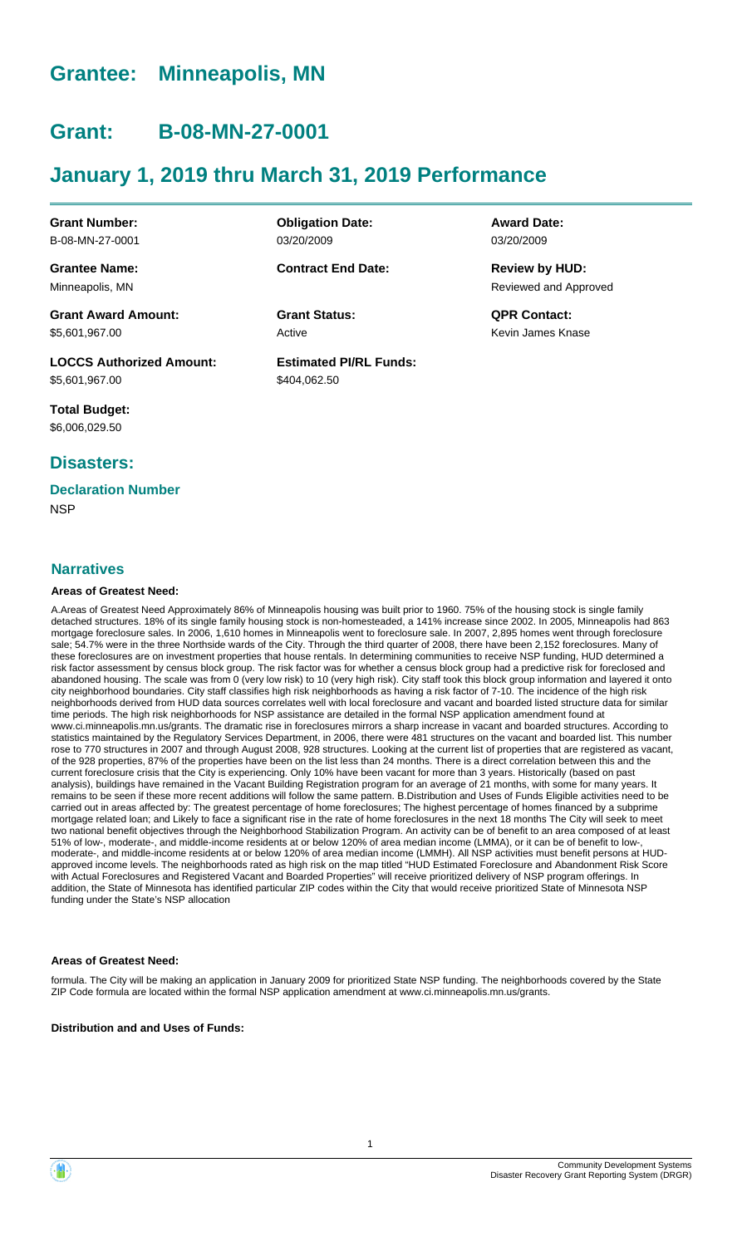# **Grantee: Minneapolis, MN**

# **Grant: B-08-MN-27-0001**

# **January 1, 2019 thru March 31, 2019 Performance**

**Grant Number:** B-08-MN-27-0001

**Grantee Name:** Minneapolis, MN

**Grant Award Amount:** \$5,601,967.00

**LOCCS Authorized Amount:** \$5,601,967.00

**Total Budget:** \$6,006,029.50

## **Disasters:**

### **Declaration Number**

**NSP** 

#### **Narratives**

#### **Areas of Greatest Need:**

A.Areas of Greatest Need Approximately 86% of Minneapolis housing was built prior to 1960. 75% of the housing stock is single family detached structures. 18% of its single family housing stock is non-homesteaded, a 141% increase since 2002. In 2005, Minneapolis had 863 mortgage foreclosure sales. In 2006, 1,610 homes in Minneapolis went to foreclosure sale. In 2007, 2,895 homes went through foreclosure sale; 54.7% were in the three Northside wards of the City. Through the third quarter of 2008, there have been 2,152 foreclosures. Many of these foreclosures are on investment properties that house rentals. In determining communities to receive NSP funding, HUD determined a risk factor assessment by census block group. The risk factor was for whether a census block group had a predictive risk for foreclosed and abandoned housing. The scale was from 0 (very low risk) to 10 (very high risk). City staff took this block group information and layered it onto city neighborhood boundaries. City staff classifies high risk neighborhoods as having a risk factor of 7-10. The incidence of the high risk neighborhoods derived from HUD data sources correlates well with local foreclosure and vacant and boarded listed structure data for similar time periods. The high risk neighborhoods for NSP assistance are detailed in the formal NSP application amendment found at www.ci.minneapolis.mn.us/grants. The dramatic rise in foreclosures mirrors a sharp increase in vacant and boarded structures. According to statistics maintained by the Regulatory Services Department, in 2006, there were 481 structures on the vacant and boarded list. This number rose to 770 structures in 2007 and through August 2008, 928 structures. Looking at the current list of properties that are registered as vacant, of the 928 properties, 87% of the properties have been on the list less than 24 months. There is a direct correlation between this and the current foreclosure crisis that the City is experiencing. Only 10% have been vacant for more than 3 years. Historically (based on past analysis), buildings have remained in the Vacant Building Registration program for an average of 21 months, with some for many years. It remains to be seen if these more recent additions will follow the same pattern. B.Distribution and Uses of Funds Eligible activities need to be carried out in areas affected by: The greatest percentage of home foreclosures; The highest percentage of homes financed by a subprime mortgage related loan; and Likely to face a significant rise in the rate of home foreclosures in the next 18 months The City will seek to meet two national benefit objectives through the Neighborhood Stabilization Program. An activity can be of benefit to an area composed of at least 51% of low-, moderate-, and middle-income residents at or below 120% of area median income (LMMA), or it can be of benefit to low-, moderate-, and middle-income residents at or below 120% of area median income (LMMH). All NSP activities must benefit persons at HUDapproved income levels. The neighborhoods rated as high risk on the map titled "HUD Estimated Foreclosure and Abandonment Risk Score with Actual Foreclosures and Registered Vacant and Boarded Properties" will receive prioritized delivery of NSP program offerings. In addition, the State of Minnesota has identified particular ZIP codes within the City that would receive prioritized State of Minnesota NSP funding under the State's NSP allocation

#### **Areas of Greatest Need:**

formula. The City will be making an application in January 2009 for prioritized State NSP funding. The neighborhoods covered by the State ZIP Code formula are located within the formal NSP application amendment at www.ci.minneapolis.mn.us/grants.

**Distribution and and Uses of Funds:**

**Obligation Date:** 03/20/2009

**Contract End Date:**

Active **Grant Status: QPR Contact:**

**Estimated PI/RL Funds:** \$404,062.50

**Award Date:** 03/20/2009

Reviewed and Approved **Review by HUD:**

Kevin James Knase

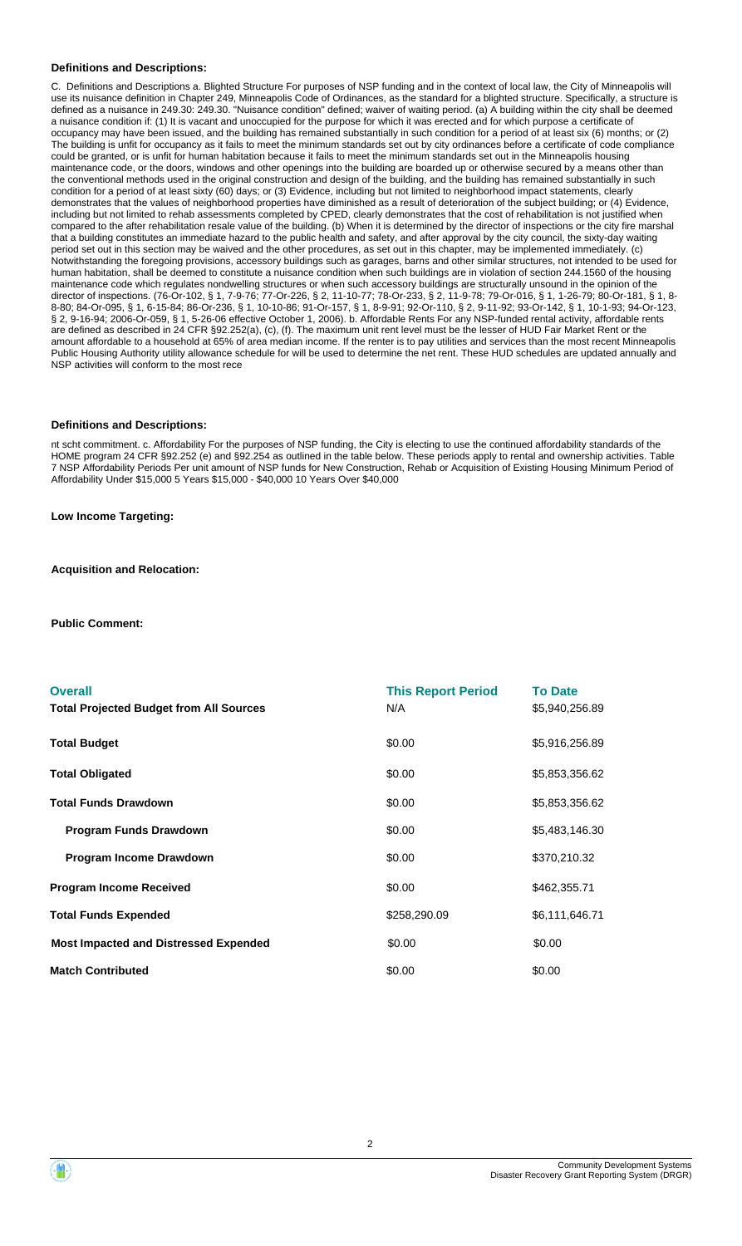#### **Definitions and Descriptions:**

C. Definitions and Descriptions a. Blighted Structure For purposes of NSP funding and in the context of local law, the City of Minneapolis will use its nuisance definition in Chapter 249, Minneapolis Code of Ordinances, as the standard for a blighted structure. Specifically, a structure is defined as a nuisance in 249.30: 249.30. "Nuisance condition" defined; waiver of waiting period. (a) A building within the city shall be deemed a nuisance condition if: (1) It is vacant and unoccupied for the purpose for which it was erected and for which purpose a certificate of occupancy may have been issued, and the building has remained substantially in such condition for a period of at least six (6) months; or (2) The building is unfit for occupancy as it fails to meet the minimum standards set out by city ordinances before a certificate of code compliance could be granted, or is unfit for human habitation because it fails to meet the minimum standards set out in the Minneapolis housing maintenance code, or the doors, windows and other openings into the building are boarded up or otherwise secured by a means other than the conventional methods used in the original construction and design of the building, and the building has remained substantially in such condition for a period of at least sixty (60) days; or (3) Evidence, including but not limited to neighborhood impact statements, clearly demonstrates that the values of neighborhood properties have diminished as a result of deterioration of the subject building; or (4) Evidence, including but not limited to rehab assessments completed by CPED, clearly demonstrates that the cost of rehabilitation is not justified when compared to the after rehabilitation resale value of the building. (b) When it is determined by the director of inspections or the city fire marshal that a building constitutes an immediate hazard to the public health and safety, and after approval by the city council, the sixty-day waiting period set out in this section may be waived and the other procedures, as set out in this chapter, may be implemented immediately. (c) Notwithstanding the foregoing provisions, accessory buildings such as garages, barns and other similar structures, not intended to be used for human habitation, shall be deemed to constitute a nuisance condition when such buildings are in violation of section 244.1560 of the housing maintenance code which regulates nondwelling structures or when such accessory buildings are structurally unsound in the opinion of the director of inspections. (76-Or-102, § 1, 7-9-76; 77-Or-226, § 2, 11-10-77; 78-Or-233, § 2, 11-9-78; 79-Or-016, § 1, 1-26-79; 80-Or-181, § 1, 8- 8-80; 84-Or-095, § 1, 6-15-84; 86-Or-236, § 1, 10-10-86; 91-Or-157, § 1, 8-9-91; 92-Or-110, § 2, 9-11-92; 93-Or-142, § 1, 10-1-93; 94-Or-123, § 2, 9-16-94; 2006-Or-059, § 1, 5-26-06 effective October 1, 2006). b. Affordable Rents For any NSP-funded rental activity, affordable rents are defined as described in 24 CFR §92.252(a), (c), (f). The maximum unit rent level must be the lesser of HUD Fair Market Rent or the amount affordable to a household at 65% of area median income. If the renter is to pay utilities and services than the most recent Minneapolis Public Housing Authority utility allowance schedule for will be used to determine the net rent. These HUD schedules are updated annually and NSP activities will conform to the most rece

#### **Definitions and Descriptions:**

nt scht commitment. c. Affordability For the purposes of NSP funding, the City is electing to use the continued affordability standards of the HOME program 24 CFR §92.252 (e) and §92.254 as outlined in the table below. These periods apply to rental and ownership activities. Table 7 NSP Affordability Periods Per unit amount of NSP funds for New Construction, Rehab or Acquisition of Existing Housing Minimum Period of Affordability Under \$15,000 5 Years \$15,000 - \$40,000 10 Years Over \$40,000

**Low Income Targeting:**

**Acquisition and Relocation:**

**Public Comment:**

| <b>Overall</b><br><b>Total Projected Budget from All Sources</b> | <b>This Report Period</b><br>N/A | <b>To Date</b><br>\$5,940,256.89 |
|------------------------------------------------------------------|----------------------------------|----------------------------------|
| <b>Total Budget</b>                                              | \$0.00                           | \$5,916,256.89                   |
| <b>Total Obligated</b>                                           | \$0.00                           | \$5,853,356.62                   |
| <b>Total Funds Drawdown</b>                                      | \$0.00                           | \$5,853,356.62                   |
| <b>Program Funds Drawdown</b>                                    | \$0.00                           | \$5,483,146.30                   |
| Program Income Drawdown                                          | \$0.00                           | \$370,210.32                     |
| <b>Program Income Received</b>                                   | \$0.00                           | \$462,355.71                     |
| <b>Total Funds Expended</b>                                      | \$258,290.09                     | \$6,111,646.71                   |
| <b>Most Impacted and Distressed Expended</b>                     | \$0.00                           | \$0.00                           |
| <b>Match Contributed</b>                                         | \$0.00                           | \$0.00                           |

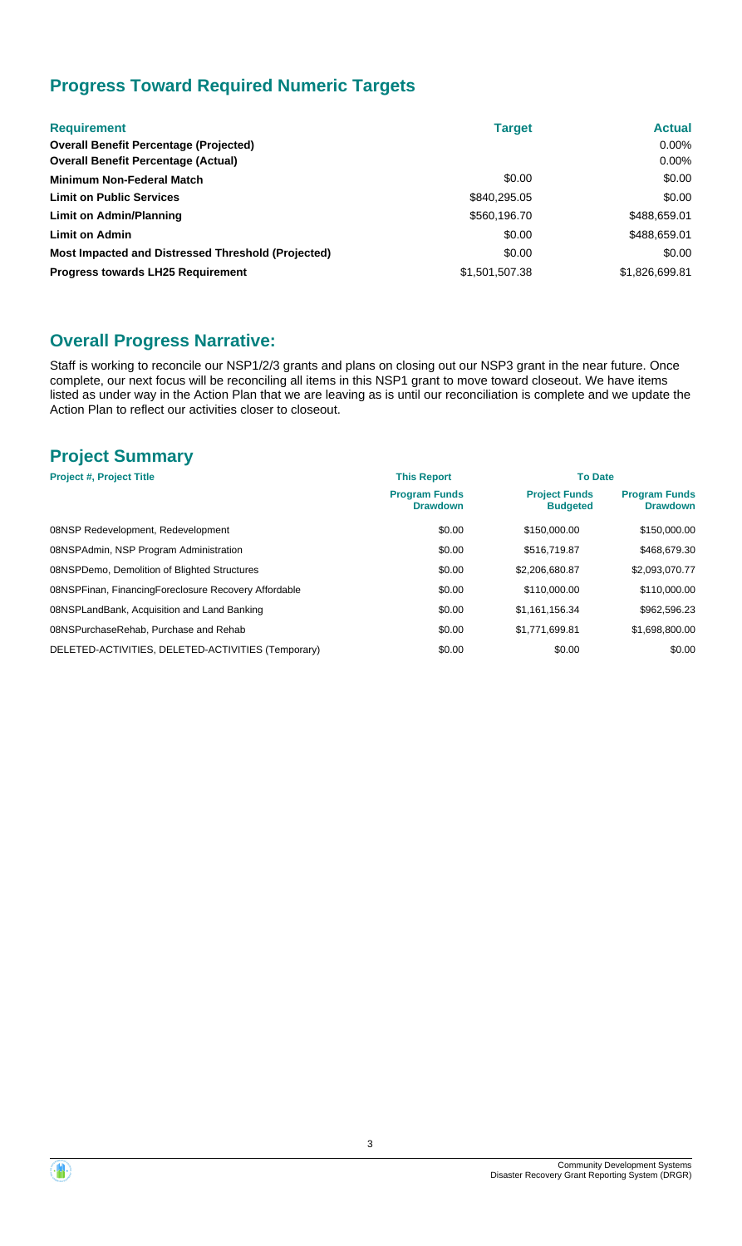# **Progress Toward Required Numeric Targets**

| <b>Requirement</b>                                 | <b>Target</b>  | <b>Actual</b>  |
|----------------------------------------------------|----------------|----------------|
| <b>Overall Benefit Percentage (Projected)</b>      |                | $0.00\%$       |
| <b>Overall Benefit Percentage (Actual)</b>         |                | $0.00\%$       |
| <b>Minimum Non-Federal Match</b>                   | \$0.00         | \$0.00         |
| <b>Limit on Public Services</b>                    | \$840,295.05   | \$0.00         |
| Limit on Admin/Planning                            | \$560,196.70   | \$488,659.01   |
| <b>Limit on Admin</b>                              | \$0.00         | \$488,659.01   |
| Most Impacted and Distressed Threshold (Projected) | \$0.00         | \$0.00         |
| <b>Progress towards LH25 Requirement</b>           | \$1,501,507.38 | \$1,826,699.81 |

## **Overall Progress Narrative:**

Staff is working to reconcile our NSP1/2/3 grants and plans on closing out our NSP3 grant in the near future. Once complete, our next focus will be reconciling all items in this NSP1 grant to move toward closeout. We have items listed as under way in the Action Plan that we are leaving as is until our reconciliation is complete and we update the Action Plan to reflect our activities closer to closeout.

## **Project Summary**

| <b>Project #, Project Title</b>                      | <b>This Report</b>                      | <b>To Date</b>                          |                                         |
|------------------------------------------------------|-----------------------------------------|-----------------------------------------|-----------------------------------------|
|                                                      | <b>Program Funds</b><br><b>Drawdown</b> | <b>Project Funds</b><br><b>Budgeted</b> | <b>Program Funds</b><br><b>Drawdown</b> |
| 08NSP Redevelopment, Redevelopment                   | \$0.00                                  | \$150,000.00                            | \$150,000.00                            |
| 08NSPAdmin, NSP Program Administration               | \$0.00                                  | \$516,719.87                            | \$468,679.30                            |
| 08NSPDemo, Demolition of Blighted Structures         | \$0.00                                  | \$2,206,680.87                          | \$2,093,070.77                          |
| 08NSPFinan, FinancingForeclosure Recovery Affordable | \$0.00                                  | \$110,000.00                            | \$110,000.00                            |
| 08NSPLandBank, Acquisition and Land Banking          | \$0.00                                  | \$1.161.156.34                          | \$962,596.23                            |
| 08NSPurchaseRehab, Purchase and Rehab                | \$0.00                                  | \$1,771,699.81                          | \$1,698,800.00                          |
| DELETED-ACTIVITIES, DELETED-ACTIVITIES (Temporary)   | \$0.00                                  | \$0.00                                  | \$0.00                                  |

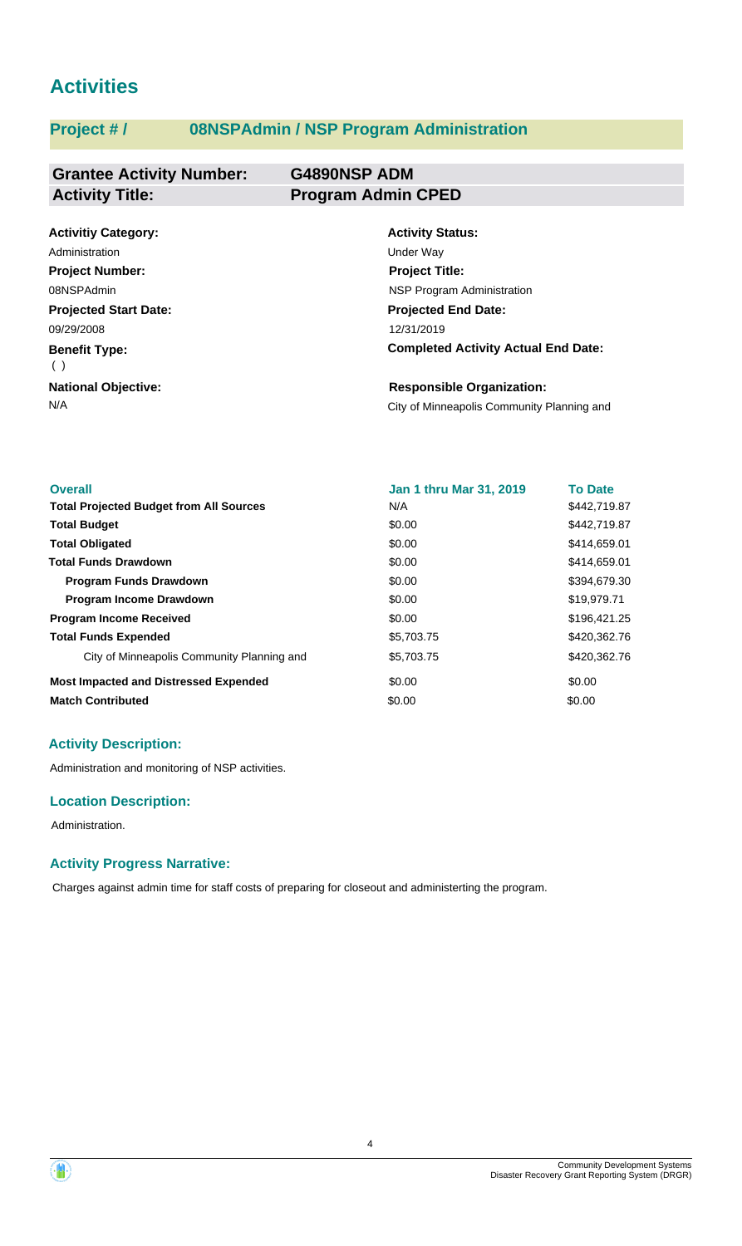# **Activities**

# **Project # / 08NSPAdmin / NSP Program Administration**

#### **Grantee Activity Number: G4890NSP ADM Activity Title: Program Admin CPED**

| <b>Activitiy Category:</b>   | <b>Activity Status:</b>                    |
|------------------------------|--------------------------------------------|
| Administration               | Under Way                                  |
| <b>Project Number:</b>       | <b>Project Title:</b>                      |
| 08NSPAdmin                   | <b>NSP Program Administration</b>          |
| <b>Projected Start Date:</b> | <b>Projected End Date:</b>                 |
| 09/29/2008                   | 12/31/2019                                 |
| <b>Benefit Type:</b><br>( )  | <b>Completed Activity Actual End Date:</b> |
| <b>National Objective:</b>   | <b>Responsible Organization:</b>           |
| N/A                          | City of Minneapolis Community Planning and |

| <b>Overall</b>                                 | <b>Jan 1 thru Mar 31, 2019</b> | <b>To Date</b> |
|------------------------------------------------|--------------------------------|----------------|
| <b>Total Projected Budget from All Sources</b> | N/A                            | \$442,719.87   |
| <b>Total Budget</b>                            | \$0.00                         | \$442,719.87   |
| <b>Total Obligated</b>                         | \$0.00                         | \$414,659.01   |
| <b>Total Funds Drawdown</b>                    | \$0.00                         | \$414,659.01   |
| <b>Program Funds Drawdown</b>                  | \$0.00                         | \$394,679.30   |
| <b>Program Income Drawdown</b>                 | \$0.00                         | \$19,979.71    |
| <b>Program Income Received</b>                 | \$0.00                         | \$196,421.25   |
| <b>Total Funds Expended</b>                    | \$5,703.75                     | \$420,362.76   |
| City of Minneapolis Community Planning and     | \$5,703.75                     | \$420,362.76   |
| <b>Most Impacted and Distressed Expended</b>   | \$0.00                         | \$0.00         |
| <b>Match Contributed</b>                       | \$0.00                         | \$0.00         |

### **Activity Description:**

Administration and monitoring of NSP activities.

#### **Location Description:**

Administration.

#### **Activity Progress Narrative:**

Charges against admin time for staff costs of preparing for closeout and administerting the program.

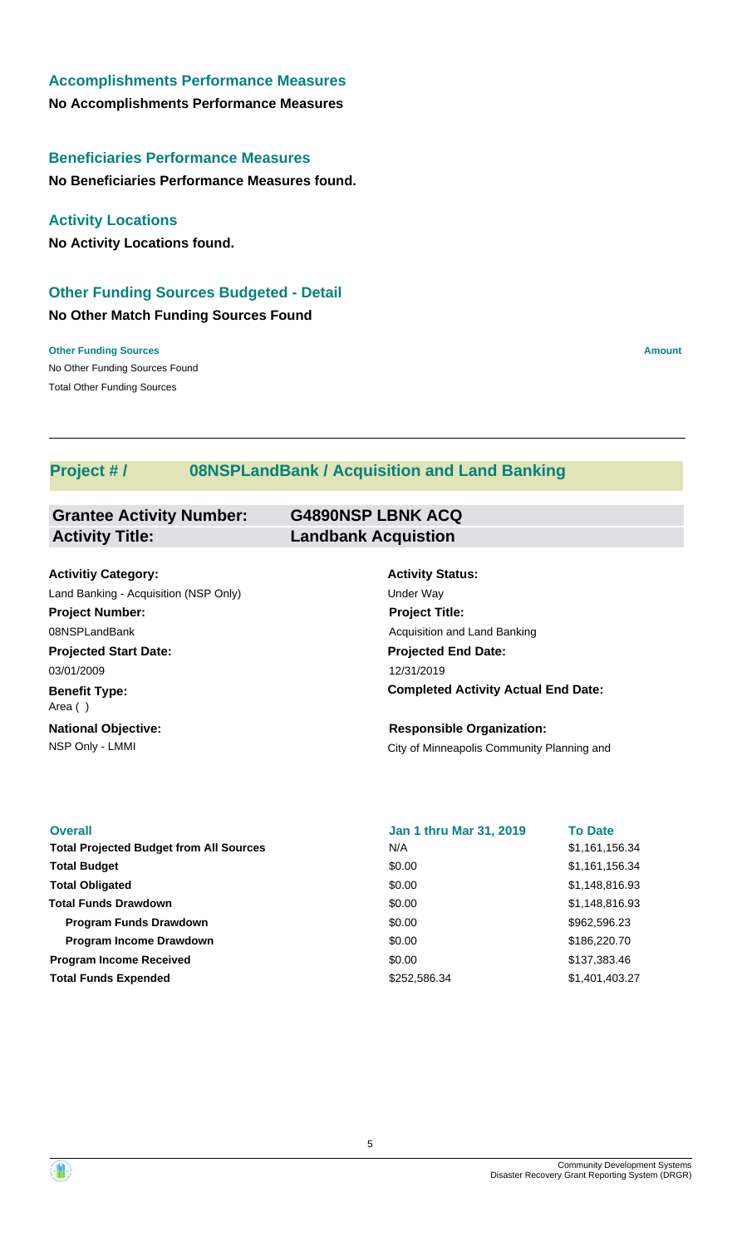# **Accomplishments Performance Measures**

**No Accomplishments Performance Measures**

### **Beneficiaries Performance Measures**

**No Beneficiaries Performance Measures found.**

### **Activity Locations**

**No Activity Locations found.**

## **No Other Match Funding Sources Found Other Funding Sources Budgeted - Detail**

No Other Funding Sources Found **Other Funding Sources Amount** Total Other Funding Sources

## **Project # / 08NSPLandBank / Acquisition and Land Banking**

| <b>Grantee Activity Number:</b> | <b>G4890NSP LBNK ACQ</b>   |
|---------------------------------|----------------------------|
| <b>Activity Title:</b>          | <b>Landbank Acquistion</b> |

**Projected Start Date: Benefit Type: National Objective: Activitiy Category:** 03/01/2009 Area ( ) Land Banking - Acquisition (NSP Only) and the Under Way **Project Number:** 08NSPLandBank

## **Activity Status: Projected End Date: Completed Activity Actual End Date:** 12/31/2019 **Project Title:** Acquisition and Land Banking

NSP Only - LMMI **NATURE 2018** City of Minneapolis Community Planning and **Responsible Organization:**

| <b>Overall</b>                                 | <b>Jan 1 thru Mar 31, 2019</b> | <b>To Date</b> |
|------------------------------------------------|--------------------------------|----------------|
| <b>Total Projected Budget from All Sources</b> | N/A                            | \$1,161,156.34 |
| <b>Total Budget</b>                            | \$0.00                         | \$1,161,156.34 |
| <b>Total Obligated</b>                         | \$0.00                         | \$1,148,816.93 |
| <b>Total Funds Drawdown</b>                    | \$0.00                         | \$1,148,816.93 |
| <b>Program Funds Drawdown</b>                  | \$0.00                         | \$962,596.23   |
| <b>Program Income Drawdown</b>                 | \$0.00                         | \$186,220.70   |
| <b>Program Income Received</b>                 | \$0.00                         | \$137,383.46   |
| <b>Total Funds Expended</b>                    | \$252,586,34                   | \$1,401,403.27 |